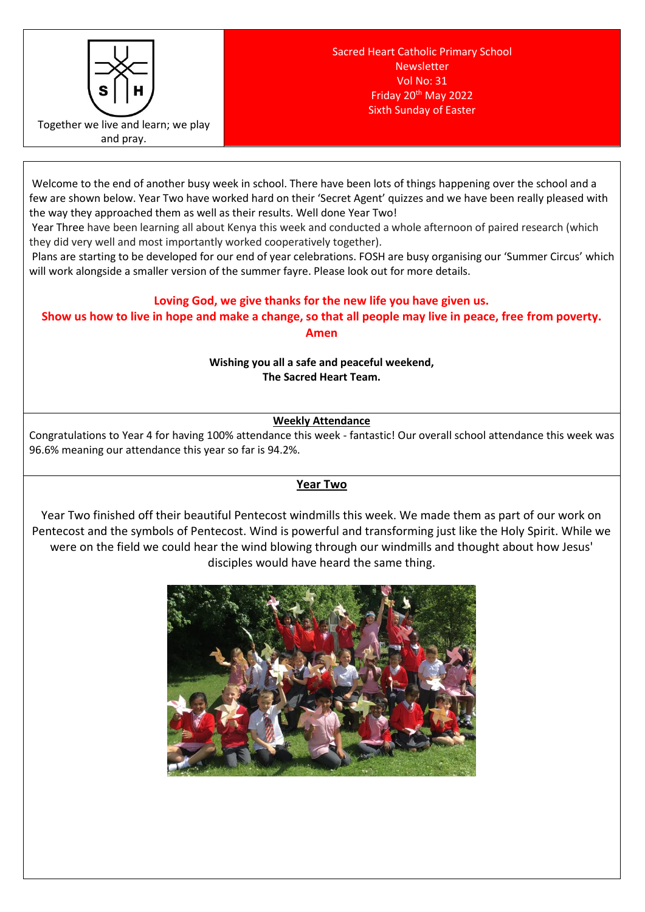

Welcome to the end of another busy week in school. There have been lots of things happening over the school and a few are shown below. Year Two have worked hard on their 'Secret Agent' quizzes and we have been really pleased with the way they approached them as well as their results. Well done Year Two!

Year Three have been learning all about Kenya this week and conducted a whole afternoon of paired research (which they did very well and most importantly worked cooperatively together).

Plans are starting to be developed for our end of year celebrations. FOSH are busy organising our 'Summer Circus' which will work alongside a smaller version of the summer fayre. Please look out for more details.

# **Loving God, we give thanks for the new life you have given us.**

**Show us how to live in hope and make a change, so that all people may live in peace, free from poverty. Amen**

> **Wishing you all a safe and peaceful weekend, The Sacred Heart Team.**

> > **Weekly Attendance**

Congratulations to Year 4 for having 100% attendance this week - fantastic! Our overall school attendance this week was 96.6% meaning our attendance this year so far is 94.2%.

## **Year Two**

Year Two finished off their beautiful Pentecost windmills this week. We made them as part of our work on Pentecost and the symbols of Pentecost. Wind is powerful and transforming just like the Holy Spirit. While we were on the field we could hear the wind blowing through our windmills and thought about how Jesus' disciples would have heard the same thing.

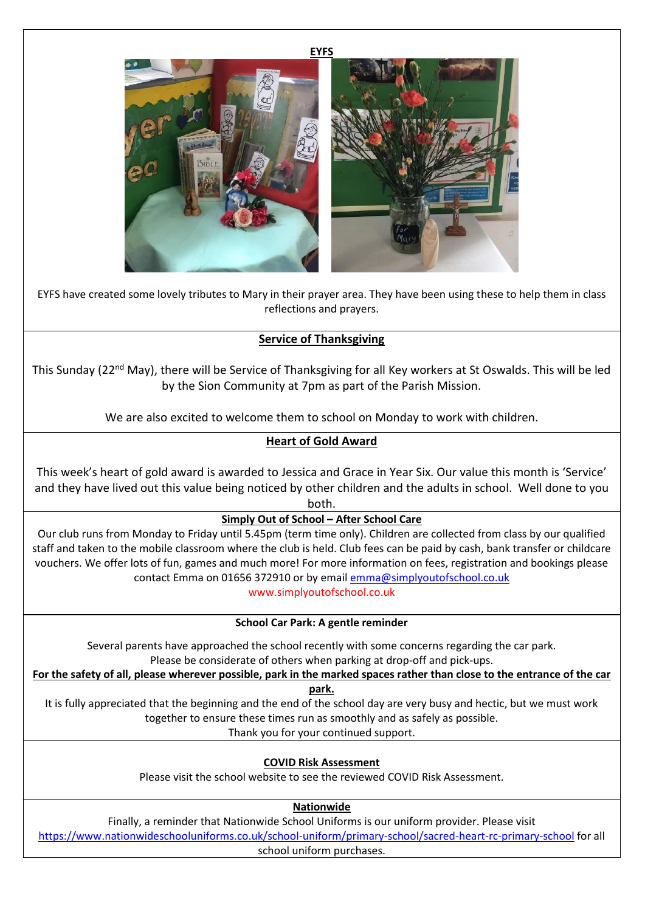



EYFS have created some lovely tributes to Mary in their prayer area. They have been using these to help them in class reflections and prayers.

## **Service of Thanksgiving**

This Sunday (22nd May), there will be Service of Thanksgiving for all Key workers at St Oswalds. This will be led by the Sion Community at 7pm as part of the Parish Mission.

We are also excited to welcome them to school on Monday to work with children.

# **Heart of Gold Award**

This week's heart of gold award is awarded to Jessica and Grace in Year Six. Our value this month is 'Service' and they have lived out this value being noticed by other children and the adults in school. Well done to you both.

**Simply Out of School – After School Care**

Our club runs from Monday to Friday until 5.45pm (term time only). Children are collected from class by our qualified staff and taken to the mobile classroom where the club is held. Club fees can be paid by cash, bank transfer or childcare vouchers. We offer lots of fun, games and much more! For more information on fees, registration and bookings please contact Emma on 01656 372910 or by email [emma@simplyoutofschool.co.uk](mailto:emma@simplyoutofschool.co.uk)

www.simplyoutofschool.co.uk

**School Car Park: A gentle reminder**

Several parents have approached the school recently with some concerns regarding the car park. Please be considerate of others when parking at drop-off and pick-ups.

**For the safety of all, please wherever possible, park in the marked spaces rather than close to the entrance of the car** 

**park.**

It is fully appreciated that the beginning and the end of the school day are very busy and hectic, but we must work together to ensure these times run as smoothly and as safely as possible.

Thank you for your continued support.

**COVID Risk Assessment**

Please visit the school website to see the reviewed COVID Risk Assessment.

**Nationwide**

Finally, a reminder that Nationwide School Uniforms is our uniform provider. Please visit <https://www.nationwideschooluniforms.co.uk/school-uniform/primary-school/sacred-heart-rc-primary-school> for all school uniform purchases.